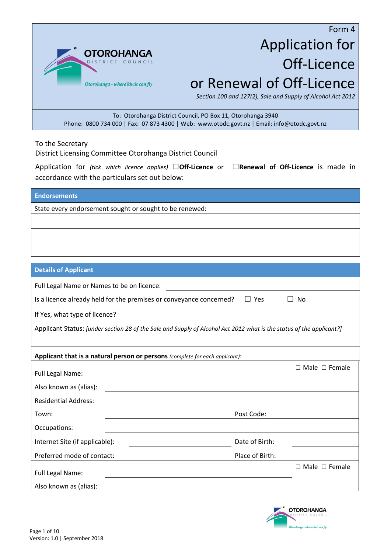

# Form 4 Application for Off-Licence or Renewal of Off-Licence

*Section 100 and 127(2), Sale and Supply of Alcohol Act 2012*

To: Otorohanga District Council, PO Box 11, Otorohanga 3940 Phone: 0800 734 000 | Fax: 07 873 4300 | Web: www.otodc.govt.nz | Email: info@otodc.govt.nz

To the Secretary

District Licensing Committee Otorohanga District Council

Application for *(tick which licence applies)* □**Off-Licence** or □**Renewal of Off-Licence** is made in accordance with the particulars set out below:

| <b>Endorsements</b>                                     |  |
|---------------------------------------------------------|--|
| State every endorsement sought or sought to be renewed: |  |
|                                                         |  |
|                                                         |  |
|                                                         |  |
|                                                         |  |

| <b>Details of Applicant</b>                                                                                          |                                                                                                   |                           |  |
|----------------------------------------------------------------------------------------------------------------------|---------------------------------------------------------------------------------------------------|---------------------------|--|
| Full Legal Name or Names to be on licence:                                                                           |                                                                                                   |                           |  |
|                                                                                                                      | $\Box$ Yes<br>Is a licence already held for the premises or conveyance concerned?<br>$\mathbf{L}$ | No                        |  |
| If Yes, what type of licence?                                                                                        |                                                                                                   |                           |  |
| Applicant Status: [under section 28 of the Sale and Supply of Alcohol Act 2012 what is the status of the applicant?] |                                                                                                   |                           |  |
|                                                                                                                      | Applicant that is a natural person or persons (complete for each applicant):                      |                           |  |
| Full Legal Name:                                                                                                     |                                                                                                   | $\Box$ Male $\Box$ Female |  |
| Also known as (alias):                                                                                               | <u> 1980 - Johann Stein, mars an deutscher Stein († 1980)</u>                                     |                           |  |
| <b>Residential Address:</b>                                                                                          |                                                                                                   |                           |  |
| Town:                                                                                                                | Post Code:                                                                                        |                           |  |
| Occupations:                                                                                                         |                                                                                                   |                           |  |
| Internet Site (if applicable):                                                                                       | Date of Birth:                                                                                    |                           |  |
| Preferred mode of contact:                                                                                           | Place of Birth:                                                                                   |                           |  |
| Full Legal Name:                                                                                                     |                                                                                                   | $\Box$ Male $\Box$ Female |  |
| Also known as (alias):                                                                                               |                                                                                                   |                           |  |

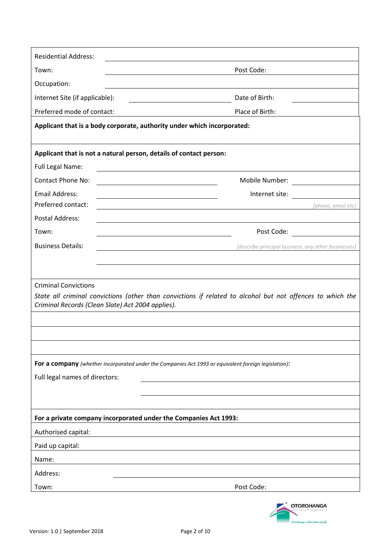| <b>Residential Address:</b>                                                                                                                   |                                                                                                                                                                                                                                |
|-----------------------------------------------------------------------------------------------------------------------------------------------|--------------------------------------------------------------------------------------------------------------------------------------------------------------------------------------------------------------------------------|
| Town:                                                                                                                                         | Post Code:                                                                                                                                                                                                                     |
| Occupation:                                                                                                                                   |                                                                                                                                                                                                                                |
| Internet Site (if applicable):                                                                                                                | Date of Birth:                                                                                                                                                                                                                 |
| Preferred mode of contact:                                                                                                                    | Place of Birth:                                                                                                                                                                                                                |
| Applicant that is a body corporate, authority under which incorporated:                                                                       |                                                                                                                                                                                                                                |
| Applicant that is not a natural person, details of contact person:                                                                            |                                                                                                                                                                                                                                |
| Full Legal Name:                                                                                                                              | <u> 1980 - Johann Barn, mars ann an t-Amhain Aonaich an t-Aonaich an t-Aonaich ann an t-Aonaich ann an t-Aonaich</u>                                                                                                           |
| <b>Contact Phone No:</b><br><u> 1980 - Andrea Station Barbara, amerikan personal (h. 1980).</u>                                               | Mobile Number: National Communication                                                                                                                                                                                          |
| <b>Email Address:</b><br><u> 1989 - Johann Stein, marwolaethau a bhann an t-Amhainn an t-Amhainn an t-Amhainn an t-Amhainn an t-Amhainn a</u> | Internet site:                                                                                                                                                                                                                 |
| Preferred contact:                                                                                                                            | [phone, email etc]                                                                                                                                                                                                             |
| <b>Postal Address:</b>                                                                                                                        | <u> 1980 - John Stein, marking and de Britain and de Britain and de Britain and de Britain and de Britain and de</u>                                                                                                           |
| Town:                                                                                                                                         | Post Code: The contract of the contract of the contract of the contract of the contract of the contract of the contract of the contract of the contract of the contract of the contract of the contract of the contract of the |
| <b>Business Details:</b>                                                                                                                      | [describe principal business, any other businesses]                                                                                                                                                                            |
|                                                                                                                                               |                                                                                                                                                                                                                                |
| <b>Criminal Convictions</b>                                                                                                                   |                                                                                                                                                                                                                                |
| Criminal Records (Clean Slate) Act 2004 applies).                                                                                             | State all criminal convictions (other than convictions if related to alcohol but not offences to which the                                                                                                                     |
|                                                                                                                                               |                                                                                                                                                                                                                                |
|                                                                                                                                               |                                                                                                                                                                                                                                |
|                                                                                                                                               |                                                                                                                                                                                                                                |
| For a company (whether incorporated under the Companies Act 1993 or equivalent foreign legislation):                                          |                                                                                                                                                                                                                                |
| Full legal names of directors:                                                                                                                |                                                                                                                                                                                                                                |
|                                                                                                                                               |                                                                                                                                                                                                                                |
|                                                                                                                                               |                                                                                                                                                                                                                                |
| For a private company incorporated under the Companies Act 1993:                                                                              |                                                                                                                                                                                                                                |
| Authorised capital:                                                                                                                           |                                                                                                                                                                                                                                |
| Paid up capital:                                                                                                                              |                                                                                                                                                                                                                                |
| Name:                                                                                                                                         |                                                                                                                                                                                                                                |
| Address:                                                                                                                                      |                                                                                                                                                                                                                                |
| Town:                                                                                                                                         | Post Code:                                                                                                                                                                                                                     |

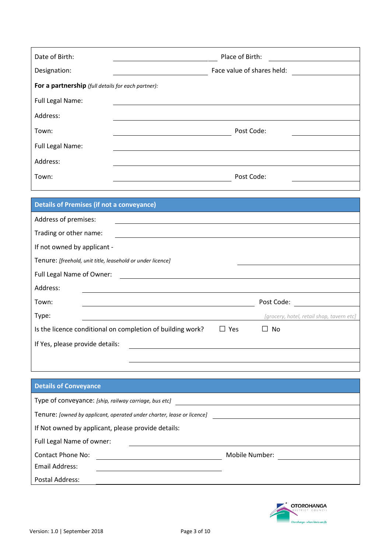| Date of Birth:                                     | Place of Birth:            |
|----------------------------------------------------|----------------------------|
| Designation:                                       | Face value of shares held: |
| For a partnership (full details for each partner): |                            |
| Full Legal Name:                                   |                            |
| Address:                                           |                            |
| Town:                                              | Post Code:                 |
| Full Legal Name:                                   |                            |
| Address:                                           |                            |
| Town:                                              | Post Code:                 |
|                                                    |                            |

| <b>Details of Premises (if not a conveyance)</b>           |            |                                           |
|------------------------------------------------------------|------------|-------------------------------------------|
| Address of premises:                                       |            |                                           |
| Trading or other name:                                     |            |                                           |
| If not owned by applicant -                                |            |                                           |
| Tenure: [freehold, unit title, leasehold or under licence] |            |                                           |
| Full Legal Name of Owner:                                  |            |                                           |
| Address:                                                   |            |                                           |
| Town:                                                      |            | Post Code:                                |
| Type:                                                      |            | [grocery, hotel, retail shop, tavern etc] |
| Is the licence conditional on completion of building work? | $\Box$ Yes | No                                        |
| If Yes, please provide details:                            |            |                                           |
|                                                            |            |                                           |
|                                                            |            |                                           |

## **Details of Conveyance**

| Type of conveyance: [ship, railway carriage, bus etc]                         |                |  |
|-------------------------------------------------------------------------------|----------------|--|
| Tenure: <i>[owned by applicant, operated under charter, lease or licence]</i> |                |  |
| If Not owned by applicant, please provide details:                            |                |  |
| Full Legal Name of owner:                                                     |                |  |
| <b>Contact Phone No:</b>                                                      | Mobile Number: |  |
| Email Address:                                                                |                |  |
| Postal Address:                                                               |                |  |

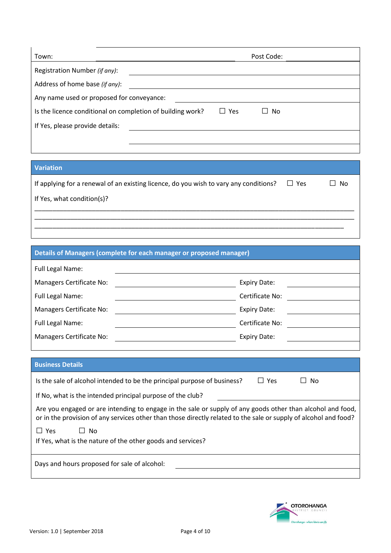| Town:                                                      | Post Code:                       |  |
|------------------------------------------------------------|----------------------------------|--|
| Registration Number (if any):                              |                                  |  |
| Address of home base (if any):                             |                                  |  |
| Any name used or proposed for conveyance:                  |                                  |  |
| Is the licence conditional on completion of building work? | Yes<br>N <sub>0</sub><br>$\perp$ |  |
| If Yes, please provide details:                            |                                  |  |
|                                                            |                                  |  |

## **Variation**

| If applying for a renewal of an existing licence, do you wish to vary any conditions? | $\Box$ Yes | $\Box$ No |
|---------------------------------------------------------------------------------------|------------|-----------|
| If Yes, what condition(s)?                                                            |            |           |
|                                                                                       |            |           |

\_\_\_\_\_\_\_\_\_\_\_\_\_\_\_\_\_\_\_\_\_\_\_\_\_\_\_\_\_\_\_\_\_\_\_\_\_\_\_\_\_\_\_\_\_\_\_\_\_\_\_\_\_\_\_\_\_\_\_\_\_\_\_\_\_\_\_\_\_\_\_\_\_\_\_\_\_\_\_\_\_\_\_\_\_\_

| Details of Managers (complete for each manager or proposed manager)                                                                                                                                                            |                     |  |
|--------------------------------------------------------------------------------------------------------------------------------------------------------------------------------------------------------------------------------|---------------------|--|
| Full Legal Name:                                                                                                                                                                                                               |                     |  |
| Managers Certificate No:                                                                                                                                                                                                       | <b>Expiry Date:</b> |  |
| Full Legal Name:                                                                                                                                                                                                               | Certificate No:     |  |
| Managers Certificate No:                                                                                                                                                                                                       | <b>Expiry Date:</b> |  |
| Full Legal Name:                                                                                                                                                                                                               | Certificate No:     |  |
| Managers Certificate No:                                                                                                                                                                                                       | <b>Expiry Date:</b> |  |
|                                                                                                                                                                                                                                |                     |  |
| <b>Business Details</b>                                                                                                                                                                                                        |                     |  |
| Is the sale of alcohol intended to be the principal purpose of business?<br>$\Box$ Yes<br>No                                                                                                                                   |                     |  |
| If No, what is the intended principal purpose of the club?                                                                                                                                                                     |                     |  |
| Are you engaged or are intending to engage in the sale or supply of any goods other than alcohol and food,<br>or in the provision of any services other than those directly related to the sale or supply of alcohol and food? |                     |  |
| $\Box$ Yes<br>$\Box$ No                                                                                                                                                                                                        |                     |  |
| If Yes, what is the nature of the other goods and services?                                                                                                                                                                    |                     |  |
| Days and hours proposed for sale of alcohol:                                                                                                                                                                                   |                     |  |

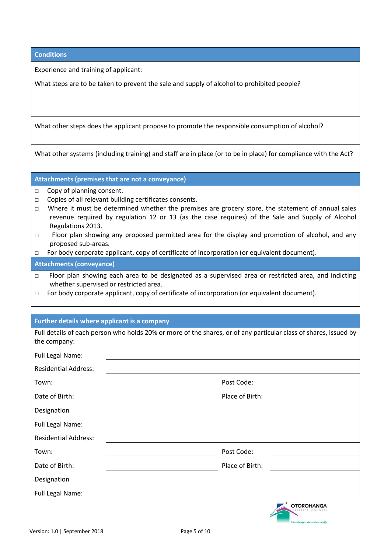| <b>Conditions</b> |  |
|-------------------|--|
|                   |  |

Experience and training of applicant:

What steps are to be taken to prevent the sale and supply of alcohol to prohibited people?

What other steps does the applicant propose to promote the responsible consumption of alcohol?

What other systems (including training) and staff are in place (or to be in place) for compliance with the Act?

**Attachments (premises that are not a conveyance)**

- □ Copy of planning consent.
- □ Copies of all relevant building certificates consents.
- $\Box$  Where it must be determined whether the premises are grocery store, the statement of annual sales revenue required by regulation 12 or 13 (as the case requires) of the Sale and Supply of Alcohol Regulations 2013.
- □ Floor plan showing any proposed permitted area for the display and promotion of alcohol, and any proposed sub-areas.

□ For body corporate applicant, copy of certificate of incorporation (or equivalent document).

**Attachments (conveyance)**

- □ Floor plan showing each area to be designated as a supervised area or restricted area, and indicting whether supervised or restricted area.
- □ For body corporate applicant, copy of certificate of incorporation (or equivalent document).

#### **Further details where applicant is a company**

| the company:                | Full details of each person who holds 20% or more of the shares, or of any particular class of shares, issued by |  |
|-----------------------------|------------------------------------------------------------------------------------------------------------------|--|
| Full Legal Name:            |                                                                                                                  |  |
| <b>Residential Address:</b> |                                                                                                                  |  |
| Town:                       | Post Code:                                                                                                       |  |
| Date of Birth:              | Place of Birth:                                                                                                  |  |
| Designation                 |                                                                                                                  |  |
| Full Legal Name:            |                                                                                                                  |  |
| <b>Residential Address:</b> |                                                                                                                  |  |
| Town:                       | Post Code:                                                                                                       |  |
| Date of Birth:              | Place of Birth:                                                                                                  |  |
| Designation                 |                                                                                                                  |  |
| Full Legal Name:            |                                                                                                                  |  |
|                             | $\sim$ OTOROHANGA                                                                                                |  |

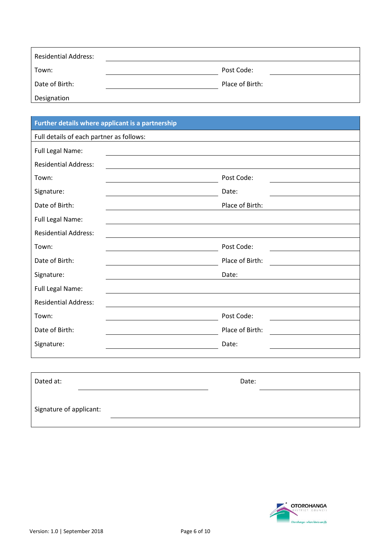| <b>Residential Address:</b> |                 |
|-----------------------------|-----------------|
| Town:                       | Post Code:      |
| Date of Birth:              | Place of Birth: |
| Designation                 |                 |

# **Further details where applicant is a partnership** Full details of each partner as follows: Full Legal Name: Residential Address: Town: Post Code: Signature: Date: Date: Date: Date: Date: Date: Date: Date: Date: Date: Date: Date: Date: Date: Date: Date: Date: Date: Date: Date: Date: Date: Date: Date: Date: Date: Date: Date: Date: Date: Date: Date: Date: Date: Date: D Date of Birth: Place of Birth: Full Legal Name: Residential Address: Town: Post Code: Date of Birth: Place of Birth: Signature: Date: Date: Date: Date: Date: Date: Date: Date: Date: Date: Date: Date: Date: Date: Date: Date: Date:  $\sim$  Date:  $\sim$  0.075  $\mu$ Full Legal Name: Residential Address: Town: Town: Post Code: Date of Birth: Place of Birth: Signature: Date:

| Dated at:               | Date: |  |
|-------------------------|-------|--|
| Signature of applicant: |       |  |
|                         |       |  |

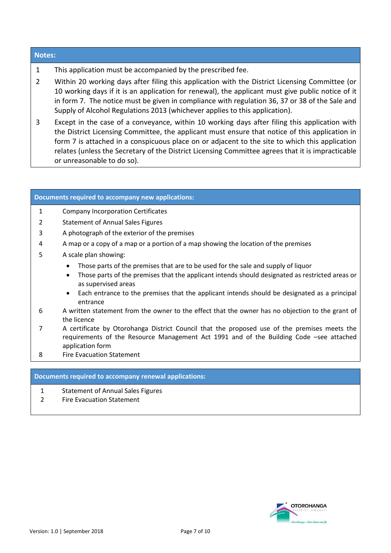#### **Notes:**

- 1 This application must be accompanied by the prescribed fee.
- 2 Within 20 working days after filing this application with the District Licensing Committee (or 10 working days if it is an application for renewal), the applicant must give public notice of it in form 7. The notice must be given in compliance with regulation 36, 37 or 38 of the Sale and Supply of Alcohol Regulations 2013 (whichever applies to this application).
- 3 Except in the case of a conveyance, within 10 working days after filing this application with the District Licensing Committee, the applicant must ensure that notice of this application in form 7 is attached in a conspicuous place on or adjacent to the site to which this application relates (unless the Secretary of the District Licensing Committee agrees that it is impracticable or unreasonable to do so).

#### **Documents required to accompany new applications:**

- 1 Company Incorporation Certificates
- 2 Statement of Annual Sales Figures
- 3 A photograph of the exterior of the premises
- 4 A map or a copy of a map or a portion of a map showing the location of the premises
- 5 A scale plan showing:
	- Those parts of the premises that are to be used for the sale and supply of liquor
	- Those parts of the premises that the applicant intends should designated as restricted areas or as supervised areas
	- Each entrance to the premises that the applicant intends should be designated as a principal entrance
- 6 A written statement from the owner to the effect that the owner has no objection to the grant of the licence
- 7 A certificate by Otorohanga District Council that the proposed use of the premises meets the requirements of the Resource Management Act 1991 and of the Building Code –see attached application form
- 8 Fire Evacuation Statement

#### **Documents required to accompany renewal applications:**

- 1 Statement of Annual Sales Figures
- 2 Fire Evacuation Statement

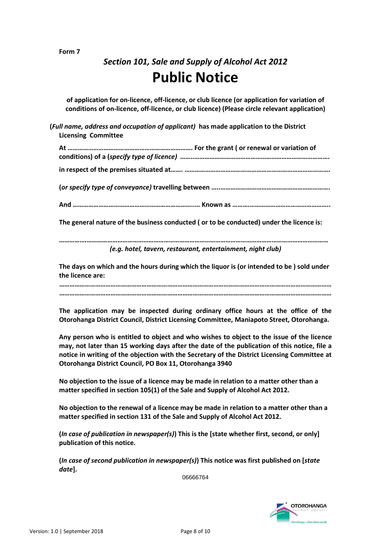#### **Form 7**

# *Section 101, Sale and Supply of Alcohol Act 2012* **Public Notice**

**of application for on-licence, off-licence, or club licence (or application for variation of conditions of on-licence, off-licence, or club licence) (Please circle relevant application)**

**(***Full name, address and occupation of applicant)* **has made application to the District Licensing Committee** 

**At ………………………………………………………………. For the grant ( or renewal or variation of conditions) of a (***specify type of licence) ……..…………………………………………………………………….* **in respect of the premises situated at……. ………………………………………………………………………….**

**(***or specify type of conveyance)* **travelling between …..……………………………………………………….**

**And ……………………………………………………………..… Known as ……….………………………………………..**

**The general nature of the business conducted ( or to be conducted) under the licence is:**

**…………….……………………………………………………………………………………………………………………………** *(e.g. hotel, tavern, restaurant, entertainment, night club)*

**The days on which and the hours during which the liquor is (or intended to be ) sold under the licence are:**

**…………………………………………………………………………………………………………………………………………… ……………………………………………………………………………………………………………………………………………**

**The application may be inspected during ordinary office hours at the office of the Otorohanga District Council, District Licensing Committee, Maniapoto Street, Otorohanga.**

**Any person who is entitled to object and who wishes to object to the issue of the licence may, not later than 15 working days after the date of the publication of this notice, file a notice in writing of the objection with the Secretary of the District Licensing Committee at Otorohanga District Council, PO Box 11, Otorohanga 3940**

**No objection to the issue of a licence may be made in relation to a matter other than a matter specified in section 105(1) of the Sale and Supply of Alcohol Act 2012.**

**No objection to the renewal of a licence may be made in relation to a matter other than a matter specified in section 131 of the Sale and Supply of Alcohol Act 2012.**

**(***In case of publication in newspaper(s)***) This is the [state whether first, second, or only] publication of this notice.**

**(***In case of second publication in newspaper(s)***) This notice was first published on [***state date***].**

06666764

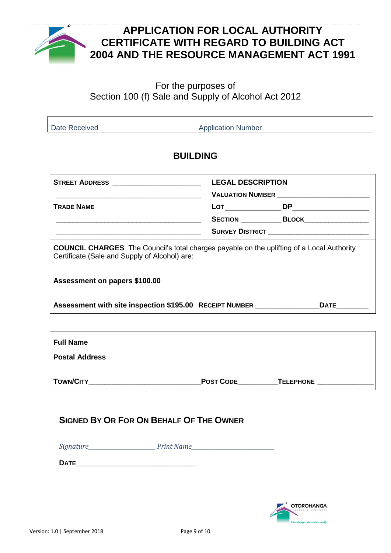

# **APPLICATION FOR LOCAL AUTHORITY CERTIFICATE WITH REGARD TO BUILDING ACT 2004 AND THE RESOURCE MANAGEMENT ACT 1991**

## For the purposes of Section 100 (f) Sale and Supply of Alcohol Act 2012

Date Received **Application Number** Application Number

# **BUILDING**

| <b>STREET ADDRESS</b> __________________________                                                                                                  | <b>LEGAL DESCRIPTION</b><br>VALUATION NUMBER ___________________________ |                                                        |  |  |
|---------------------------------------------------------------------------------------------------------------------------------------------------|--------------------------------------------------------------------------|--------------------------------------------------------|--|--|
| <b>TRADE NAME</b>                                                                                                                                 |                                                                          |                                                        |  |  |
|                                                                                                                                                   |                                                                          | <b>SECTION ______________BLOCK____________________</b> |  |  |
|                                                                                                                                                   |                                                                          | <b>SURVEY DISTRICT</b> _____________________________   |  |  |
| <b>COUNCIL CHARGES</b> The Council's total charges payable on the uplifting of a Local Authority<br>Certificate (Sale and Supply of Alcohol) are: |                                                                          |                                                        |  |  |
| Assessment on papers \$100.00                                                                                                                     |                                                                          |                                                        |  |  |
| Assessment with site inspection \$195.00 RECEIPT NUMBER                                                                                           |                                                                          |                                                        |  |  |
|                                                                                                                                                   |                                                                          |                                                        |  |  |
| <b>Full Name</b>                                                                                                                                  |                                                                          |                                                        |  |  |
| <b>Postal Address</b>                                                                                                                             |                                                                          |                                                        |  |  |
| <b>TOWN/CITY</b>                                                                                                                                  | <b>POST CODE</b>                                                         | <b>TELEPHONE</b>                                       |  |  |

## **SIGNED BY OR FOR ON BEHALF OF THE OWNER**

*Signature* Print Name

**DATE\_\_\_\_\_\_\_\_\_\_\_\_\_\_\_\_\_\_\_\_\_\_\_\_\_\_\_\_\_\_**